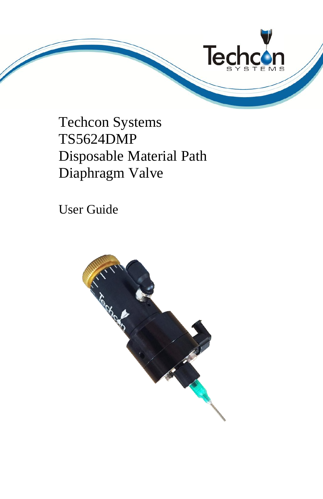

Techcon Systems TS5624DMP Disposable Material Path Diaphragm Valve

User Guide

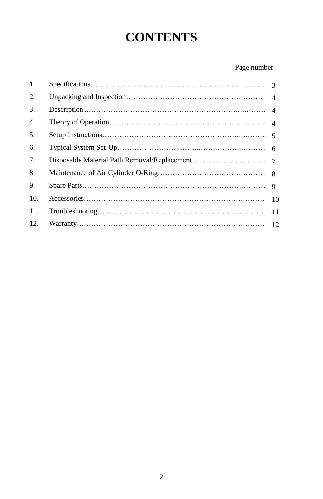# **CONTENTS**

## Page number

| 1.  |    |
|-----|----|
| 2.  |    |
| 3.  |    |
| 4.  |    |
| 5.  |    |
| 6.  |    |
| 7.  |    |
| 8.  |    |
| 9.  |    |
| 10. |    |
| 11. | 11 |
| 12. |    |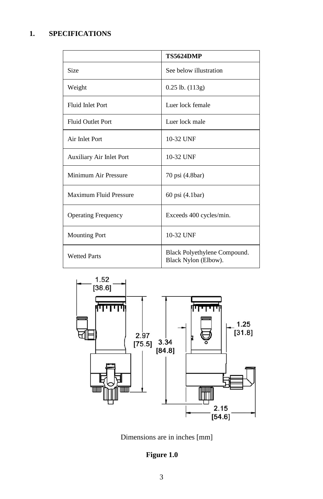# **1. SPECIFICATIONS**

|                            | <b>TS5624DMP</b>                                     |  |
|----------------------------|------------------------------------------------------|--|
| <b>Size</b>                | See below illustration                               |  |
| Weight                     | 0.25 lb. (113g)                                      |  |
| <b>Fluid Inlet Port</b>    | Luer lock female                                     |  |
| <b>Fluid Outlet Port</b>   | Luer lock male                                       |  |
| Air Inlet Port             | 10-32 UNF                                            |  |
| Auxiliary Air Inlet Port   | 10-32 UNF                                            |  |
| Minimum Air Pressure       | 70 psi (4.8bar)                                      |  |
| Maximum Fluid Pressure     | 60 psi (4.1bar)                                      |  |
| <b>Operating Frequency</b> | Exceeds 400 cycles/min.                              |  |
| <b>Mounting Port</b>       | 10-32 UNF                                            |  |
| <b>Wetted Parts</b>        | Black Polyethylene Compound.<br>Black Nylon (Elbow). |  |



Dimensions are in inches [mm]

## **Figure 1.0**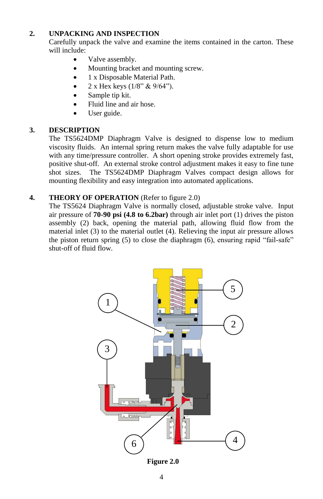## **2. UNPACKING AND INSPECTION**

Carefully unpack the valve and examine the items contained in the carton. These will include:

- Valve assembly.
- Mounting bracket and mounting screw.
- 1 x Disposable Material Path.
- 2 x Hex keys (1/8" & 9/64").
- Sample tip kit.
- Fluid line and air hose.
- User guide.

## **3. DESCRIPTION**

The TS5624DMP Diaphragm Valve is designed to dispense low to medium viscosity fluids. An internal spring return makes the valve fully adaptable for use with any time/pressure controller. A short opening stroke provides extremely fast, positive shut-off. An external stroke control adjustment makes it easy to fine tune shot sizes. The TS5624DMP Diaphragm Valves compact design allows for mounting flexibility and easy integration into automated applications.

## **4. THEORY OF OPERATION** (Refer to figure 2.0)

The TS5624 Diaphragm Valve is normally closed, adjustable stroke valve. Input air pressure of **70-90 psi (4.8 to 6.2bar)** through air inlet port (1) drives the piston assembly (2) back, opening the material path, allowing fluid flow from the material inlet (3) to the material outlet (4). Relieving the input air pressure allows the piston return spring (5) to close the diaphragm (6), ensuring rapid "fail-safe" shut-off of fluid flow.



**Figure 2.0**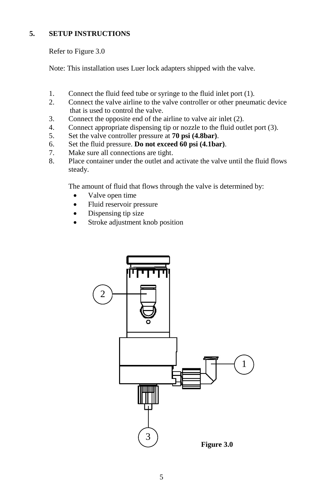## **5. SETUP INSTRUCTIONS**

Refer to Figure 3.0

Note: This installation uses Luer lock adapters shipped with the valve.

- 1. Connect the fluid feed tube or syringe to the fluid inlet port (1).
- 2. Connect the valve airline to the valve controller or other pneumatic device that is used to control the valve.
- 3. Connect the opposite end of the airline to valve air inlet (2).
- 4. Connect appropriate dispensing tip or nozzle to the fluid outlet port (3).
- 5. Set the valve controller pressure at **70 psi (4.8bar)**.
- 6. Set the fluid pressure. **Do not exceed 60 psi (4.1bar)**.
- 7. Make sure all connections are tight.
- 8. Place container under the outlet and activate the valve until the fluid flows steady.

The amount of fluid that flows through the valve is determined by:

- Valve open time
- Fluid reservoir pressure
- Dispensing tip size
- Stroke adjustment knob position

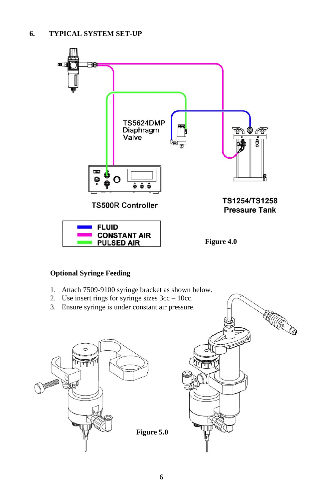

HUCO

## **Optional Syringe Feeding**

- 1. Attach 7509-9100 syringe bracket as shown below.
- 2. Use insert rings for syringe sizes 3cc 10cc.
- 3. Ensure syringe is under constant air pressure.



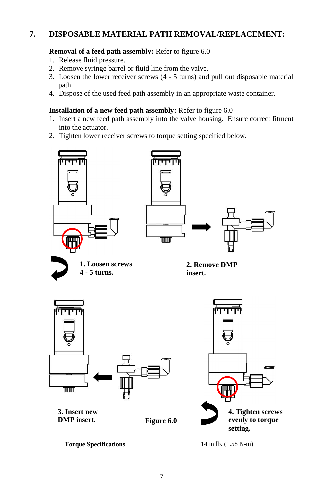## **7. DISPOSABLE MATERIAL PATH REMOVAL/REPLACEMENT:**

#### **Removal of a feed path assembly:** Refer to figure 6.0

- 1. Release fluid pressure.
- 2. Remove syringe barrel or fluid line from the valve.
- 3. Loosen the lower receiver screws (4 5 turns) and pull out disposable material path.
- 4. Dispose of the used feed path assembly in an appropriate waste container.

#### **Installation of a new feed path assembly:** Refer to figure 6.0

- 1. Insert a new feed path assembly into the valve housing. Ensure correct fitment into the actuator.
- 2. Tighten lower receiver screws to torque setting specified below.

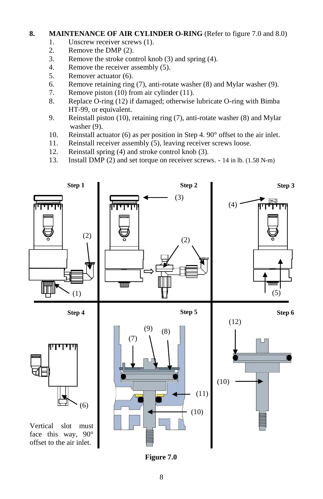### **8. MAINTENANCE OF AIR CYLINDER O-RING** (Refer to figure 7.0 and 8.0)

- 1. Unscrew receiver screws (1).
- 2. Remove the DMP (2).
- 3. Remove the stroke control knob (3) and spring (4).
- 4. Remove the receiver assembly (5).
- 5. Remover actuator (6).
- 6. Remove retaining ring (7), anti-rotate washer (8) and Mylar washer (9).
- 7. Remove piston (10) from air cylinder (11).
- 8. Replace O-ring (12) if damaged; otherwise lubricate O-ring with Bimba HT-99, or equivalent.
- 9. Reinstall piston (10), retaining ring (7), anti-rotate washer (8) and Mylar washer (9).
- 10. Reinstall actuator (6) as per position in Step 4. 90° offset to the air inlet.
- 11. Reinstall receiver assembly (5), leaving receiver screws loose.
- 12. Reinstall spring (4) and stroke control knob (3).
- 13. Install DMP (2) and set torque on receiver screws. 14 in lb. (1.58 N-m)



**Figure 7.0**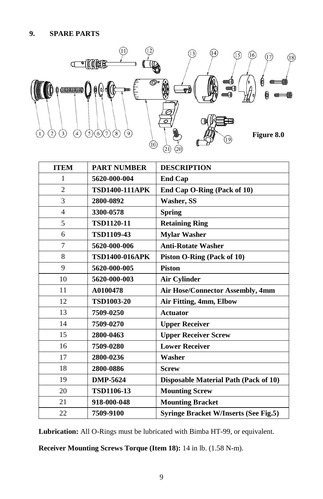

| <b>ITEM</b>    | <b>PART NUMBER</b>    | <b>DESCRIPTION</b>                           |
|----------------|-----------------------|----------------------------------------------|
| 1              | 5620-000-004          | <b>End Cap</b>                               |
| $\overline{2}$ | <b>TSD1400-111APK</b> | End Cap O-Ring (Pack of 10)                  |
| 3              | 2800-0892             | Washer, SS                                   |
| $\overline{4}$ | 3300-0578             | <b>Spring</b>                                |
| 5              | <b>TSD1120-11</b>     | <b>Retaining Ring</b>                        |
| 6              | <b>TSD1109-43</b>     | <b>Mylar Washer</b>                          |
| 7              | 5620-000-006          | <b>Anti-Rotate Washer</b>                    |
| 8              | <b>TSD1400-016APK</b> | Piston O-Ring (Pack of 10)                   |
| 9              | 5620-000-005          | <b>Piston</b>                                |
| 10             | 5620-000-003          | <b>Air Cylinder</b>                          |
| 11             | A0100478              | Air Hose/Connector Assembly, 4mm             |
| 12             | <b>TSD1003-20</b>     | Air Fitting, 4mm, Elbow                      |
| 13             | 7509-0250             | <b>Actuator</b>                              |
| 14             | 7509-0270             | <b>Upper Receiver</b>                        |
| 15             | 2800-0463             | <b>Upper Receiver Screw</b>                  |
| 16             | 7509-0280             | <b>Lower Receiver</b>                        |
| 17             | 2800-0236             | Washer                                       |
| 18             | 2800-0886             | <b>Screw</b>                                 |
| 19             | DMP-5624              | Disposable Material Path (Pack of 10)        |
| 20             | <b>TSD1106-13</b>     | <b>Mounting Screw</b>                        |
| 21             | 918-000-048           | <b>Mounting Bracket</b>                      |
| 22             | 7509-9100             | <b>Syringe Bracket W/Inserts (See Fig.5)</b> |

**Lubrication:** All O-Rings must be lubricated with Bimba HT-99, or equivalent.

**Receiver Mounting Screws Torque (Item 18):** 14 in lb. (1.58 N-m).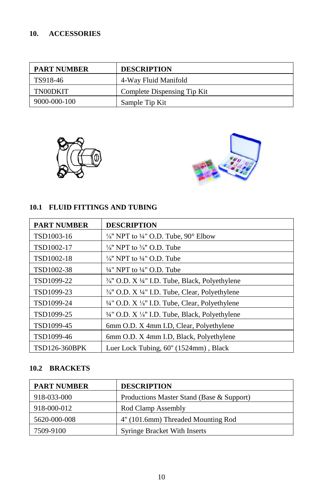## **10. ACCESSORIES**

| <b>PART NUMBER</b> | <b>DESCRIPTION</b>          |
|--------------------|-----------------------------|
| TS918-46           | 4-Way Fluid Manifold        |
| TN00DKIT           | Complete Dispensing Tip Kit |
| 9000-000-100       | Sample Tip Kit              |





## **10.1 FLUID FITTINGS AND TUBING**

| <b>PART NUMBER</b>   | <b>DESCRIPTION</b>                                                       |
|----------------------|--------------------------------------------------------------------------|
| TSD1003-16           | $\frac{1}{8}$ " NPT to $\frac{1}{4}$ " O.D. Tube, 90° Elbow              |
| TSD1002-17           | $\frac{1}{8}$ " NPT to $\frac{3}{8}$ " O.D. Tube                         |
| TSD1002-18           | $\frac{1}{8}$ " NPT to $\frac{1}{4}$ " O.D. Tube                         |
| TSD1002-38           | $\frac{1}{4}$ " NPT to $\frac{1}{4}$ " O.D. Tube                         |
| TSD1099-22           | $\frac{3}{8}$ " O.D. X ¼" I.D. Tube, Black, Polyethylene                 |
| TSD1099-23           | 3/ <sub>8</sub> " O.D. X <sup>1</sup> /4" I.D. Tube, Clear, Polyethylene |
| TSD1099-24           | $\frac{1}{4}$ " O.D. X $\frac{1}{8}$ " I.D. Tube, Clear, Polyethylene    |
| TSD1099-25           | 1/4" O.D. X 1/8" I.D. Tube, Black, Polyethylene                          |
| TSD1099-45           | 6mm O.D. X 4mm I.D. Clear, Polyethylene                                  |
| TSD1099-46           | 6mm O.D. X 4mm I.D, Black, Polyethylene                                  |
| <b>TSD126-360BPK</b> | Luer Lock Tubing, 60" (1524mm), Black                                    |

## **10.2 BRACKETS**

| <b>PART NUMBER</b> | <b>DESCRIPTION</b>                        |
|--------------------|-------------------------------------------|
| 918-033-000        | Productions Master Stand (Base & Support) |
| 918-000-012        | Rod Clamp Assembly                        |
| 5620-000-008       | 4" (101.6mm) Threaded Mounting Rod        |
| 7509-9100          | <b>Syringe Bracket With Inserts</b>       |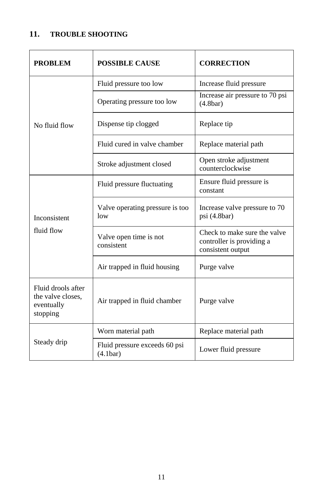# **11. TROUBLE SHOOTING**

| <b>PROBLEM</b>                                                    | <b>POSSIBLE CAUSE</b>                                  | <b>CORRECTION</b>                                                              |
|-------------------------------------------------------------------|--------------------------------------------------------|--------------------------------------------------------------------------------|
|                                                                   | Fluid pressure too low                                 | Increase fluid pressure                                                        |
|                                                                   | Operating pressure too low                             | Increase air pressure to 70 psi<br>(4.8bar)                                    |
| No fluid flow                                                     | Dispense tip clogged                                   | Replace tip                                                                    |
|                                                                   | Fluid cured in valve chamber                           | Replace material path                                                          |
|                                                                   | Stroke adjustment closed                               | Open stroke adjustment<br>counterclockwise                                     |
|                                                                   | Fluid pressure fluctuating                             | Ensure fluid pressure is<br>constant                                           |
| Inconsistent                                                      | Valve operating pressure is too<br>low                 | Increase valve pressure to 70<br>psi $(4.8bar)$                                |
| fluid flow                                                        | Valve open time is not<br>consistent                   | Check to make sure the valve<br>controller is providing a<br>consistent output |
|                                                                   | Air trapped in fluid housing                           | Purge valve                                                                    |
| Fluid drools after<br>the valve closes.<br>eventually<br>stopping | Air trapped in fluid chamber                           | Purge valve                                                                    |
|                                                                   | Worn material path                                     | Replace material path                                                          |
| Steady drip                                                       | Fluid pressure exceeds 60 psi<br>(4.1 <sub>bar</sub> ) | Lower fluid pressure                                                           |